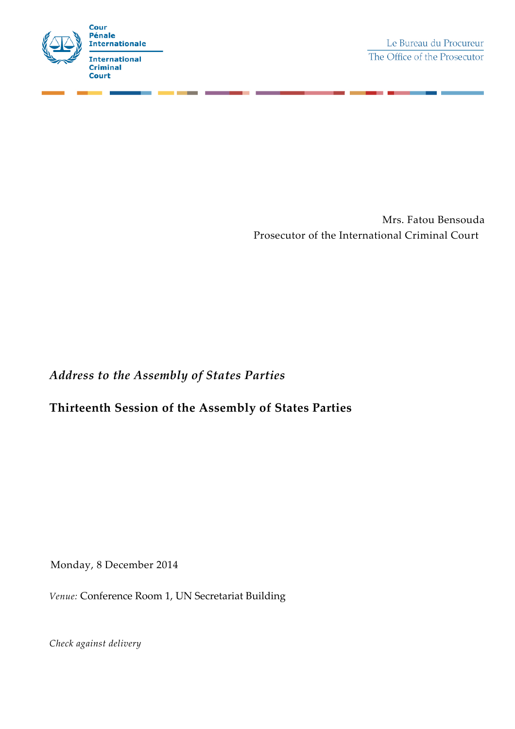

Mrs. Fatou Bensouda Prosecutor of the International Criminal Court

*Address to the Assembly of States Parties*

## **Thirteenth Session of the Assembly of States Parties**

Monday, 8 December 2014

*Venue:* Conference Room 1, UN Secretariat Building

*Check against delivery*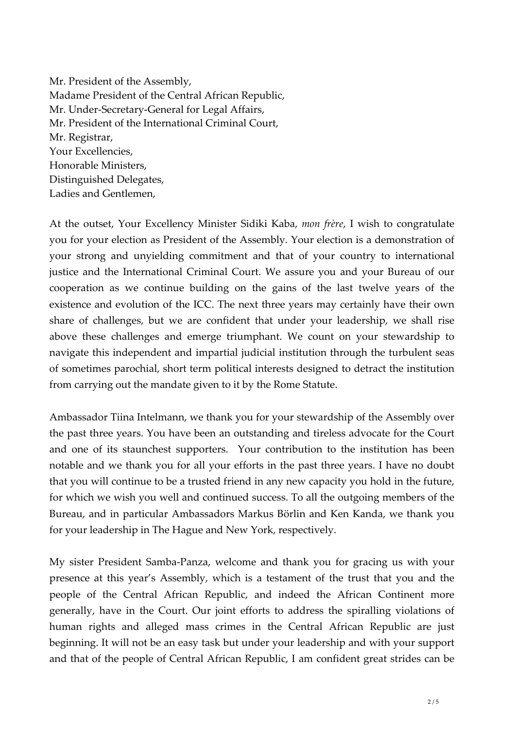Mr. President of the Assembly, Madame President of the Central African Republic, Mr. Under-Secretary-General for Legal Affairs, Mr. President of the International Criminal Court, Mr. Registrar, Your Excellencies, Honorable Ministers, Distinguished Delegates, Ladies and Gentlemen,

At the outset, Your Excellency Minister Sidiki Kaba, *mon frère*, I wish to congratulate you for your election as President of the Assembly. Your election is a demonstration of your strong and unyielding commitment and that of your country to international justice and the International Criminal Court. We assure you and your Bureau of our cooperation as we continue building on the gains of the last twelve years of the existence and evolution of the ICC. The next three years may certainly have their own share of challenges, but we are confident that under your leadership, we shall rise above these challenges and emerge triumphant. We count on your stewardship to navigate this independent and impartial judicial institution through the turbulent seas of sometimes parochial, short term political interests designed to detract the institution from carrying out the mandate given to it by the Rome Statute.

Ambassador Tiina Intelmann, we thank you for your stewardship of the Assembly over the past three years. You have been an outstanding and tireless advocate for the Court and one of its staunchest supporters. Your contribution to the institution has been notable and we thank you for all your efforts in the past three years. I have no doubt that you will continue to be a trusted friend in any new capacity you hold in the future, for which we wish you well and continued success. To all the outgoing members of the Bureau, and in particular Ambassadors Markus Börlin and Ken Kanda, we thank you for your leadership in The Hague and New York, respectively.

My sister President Samba-Panza, welcome and thank you for gracing us with your presence at this year's Assembly, which is a testament of the trust that you and the people of the Central African Republic, and indeed the African Continent more generally, have in the Court. Our joint efforts to address the spiralling violations of human rights and alleged mass crimes in the Central African Republic are just beginning. It will not be an easy task but under your leadership and with your support and that of the people of Central African Republic, I am confident great strides can be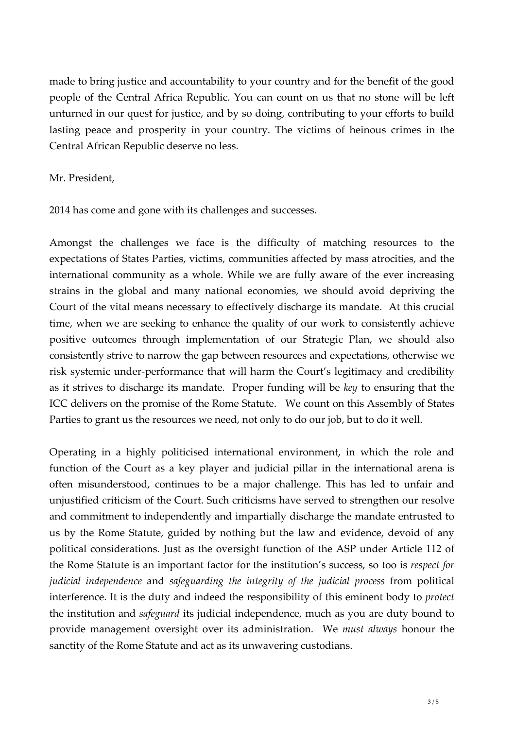made to bring justice and accountability to your country and for the benefit of the good people of the Central Africa Republic. You can count on us that no stone will be left unturned in our quest for justice, and by so doing, contributing to your efforts to build lasting peace and prosperity in your country. The victims of heinous crimes in the Central African Republic deserve no less.

## Mr. President,

2014 has come and gone with its challenges and successes.

Amongst the challenges we face is the difficulty of matching resources to the expectations of States Parties, victims, communities affected by mass atrocities, and the international community as a whole. While we are fully aware of the ever increasing strains in the global and many national economies, we should avoid depriving the Court of the vital means necessary to effectively discharge its mandate. At this crucial time, when we are seeking to enhance the quality of our work to consistently achieve positive outcomes through implementation of our Strategic Plan, we should also consistently strive to narrow the gap between resources and expectations, otherwise we risk systemic under-performance that will harm the Court's legitimacy and credibility as it strives to discharge its mandate. Proper funding will be *key* to ensuring that the ICC delivers on the promise of the Rome Statute. We count on this Assembly of States Parties to grant us the resources we need, not only to do our job, but to do it well.

Operating in a highly politicised international environment, in which the role and function of the Court as a key player and judicial pillar in the international arena is often misunderstood, continues to be a major challenge. This has led to unfair and unjustified criticism of the Court. Such criticisms have served to strengthen our resolve and commitment to independently and impartially discharge the mandate entrusted to us by the Rome Statute, guided by nothing but the law and evidence, devoid of any political considerations. Just as the oversight function of the ASP under Article 112 of the Rome Statute is an important factor for the institution's success, so too is *respect for judicial independence* and *safeguarding the integrity of the judicial process* from political interference. It is the duty and indeed the responsibility of this eminent body to *protect* the institution and *safeguard* its judicial independence, much as you are duty bound to provide management oversight over its administration. We *must always* honour the sanctity of the Rome Statute and act as its unwavering custodians.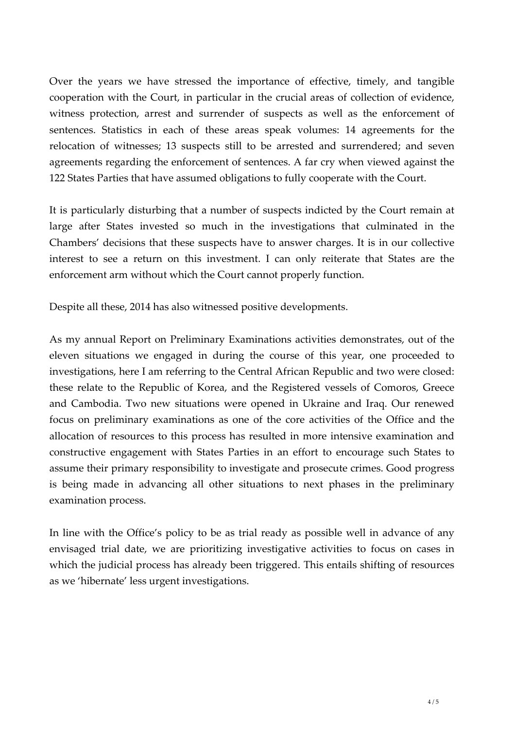Over the years we have stressed the importance of effective, timely, and tangible cooperation with the Court, in particular in the crucial areas of collection of evidence, witness protection, arrest and surrender of suspects as well as the enforcement of sentences. Statistics in each of these areas speak volumes: 14 agreements for the relocation of witnesses; 13 suspects still to be arrested and surrendered; and seven agreements regarding the enforcement of sentences. A far cry when viewed against the 122 States Parties that have assumed obligations to fully cooperate with the Court.

It is particularly disturbing that a number of suspects indicted by the Court remain at large after States invested so much in the investigations that culminated in the Chambers' decisions that these suspects have to answer charges. It is in our collective interest to see a return on this investment. I can only reiterate that States are the enforcement arm without which the Court cannot properly function.

Despite all these, 2014 has also witnessed positive developments.

As my annual Report on Preliminary Examinations activities demonstrates, out of the eleven situations we engaged in during the course of this year, one proceeded to investigations, here I am referring to the Central African Republic and two were closed: these relate to the Republic of Korea, and the Registered vessels of Comoros, Greece and Cambodia. Two new situations were opened in Ukraine and Iraq. Our renewed focus on preliminary examinations as one of the core activities of the Office and the allocation of resources to this process has resulted in more intensive examination and constructive engagement with States Parties in an effort to encourage such States to assume their primary responsibility to investigate and prosecute crimes. Good progress is being made in advancing all other situations to next phases in the preliminary examination process.

In line with the Office's policy to be as trial ready as possible well in advance of any envisaged trial date, we are prioritizing investigative activities to focus on cases in which the judicial process has already been triggered. This entails shifting of resources as we 'hibernate' less urgent investigations.